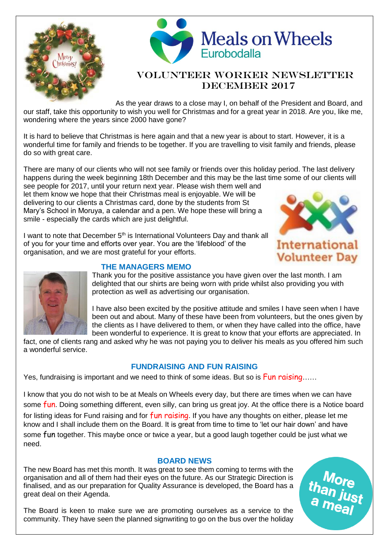



# Volunteer Worker Newsletter DECEMBER 2017

As the year draws to a close may I, on behalf of the President and Board, and our staff, take this opportunity to wish you well for Christmas and for a great year in 2018. Are you, like me, wondering where the years since 2000 have gone?

It is hard to believe that Christmas is here again and that a new year is about to start. However, it is a wonderful time for family and friends to be together. If you are travelling to visit family and friends, please do so with great care.

There are many of our clients who will not see family or friends over this holiday period. The last delivery happens during the week beginning 18th December and this may be the last time some of our clients will

see people for 2017, until your return next year. Please wish them well and let them know we hope that their Christmas meal is enjoyable. We will be delivering to our clients a Christmas card, done by the students from St Mary's School in Moruya, a calendar and a pen. We hope these will bring a smile - especially the cards which are just delightful.

I want to note that December 5<sup>th</sup> is International Volunteers Day and thank all of you for your time and efforts over year. You are the 'lifeblood' of the organisation, and we are most grateful for your efforts.





## **THE MANAGERS MEMO**

Thank you for the positive assistance you have given over the last month. I am delighted that our shirts are being worn with pride whilst also providing you with protection as well as advertising our organisation.

I have also been excited by the positive attitude and smiles I have seen when I have been out and about. Many of these have been from volunteers, but the ones given by the clients as I have delivered to them, or when they have called into the office, have been wonderful to experience. It is great to know that your efforts are appreciated. In

fact, one of clients rang and asked why he was not paying you to deliver his meals as you offered him such a wonderful service.

## **FUNDRAISING AND FUN RAISING**

Yes, fundraising is important and we need to think of some ideas. But so is Fun raising……

I know that you do not wish to be at Meals on Wheels every day, but there are times when we can have some fun. Doing something different, even silly, can bring us great joy. At the office there is a Notice board for listing ideas for Fund raising and for  $fun$  raising. If you have any thoughts on either, please let me know and I shall include them on the Board. It is great from time to time to 'let our hair down' and have some fun together. This maybe once or twice a year, but a good laugh together could be just what we need.

## **BOARD NEWS**

The new Board has met this month. It was great to see them coming to terms with the organisation and all of them had their eyes on the future. As our Strategic Direction is finalised, and as our preparation for Quality Assurance is developed, the Board has a great deal on their Agenda.

The Board is keen to make sure we are promoting ourselves as a service to the community. They have seen the planned signwriting to go on the bus over the holiday